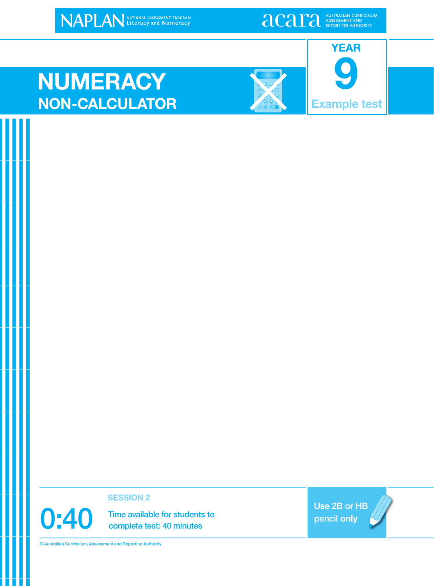NAPLAN NATIONAL ASSESSMENT PROGRAM

**alcariation** ASSESSMENT AND ASSESSMENT AND

### **NUMERACY NON-CALCULATOR Example test**





**SESSION 2**

0:40 Time available for students to<br>complete test: 40 minutes complete test: 40 minutes

Use 2B or HB pencil **only**

© Australian Curriculum, Assessment and Reporting Authority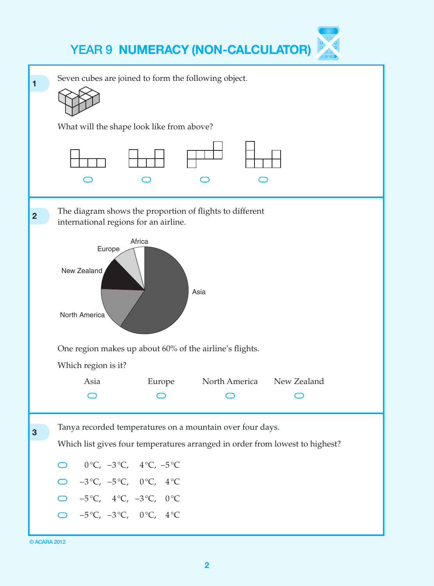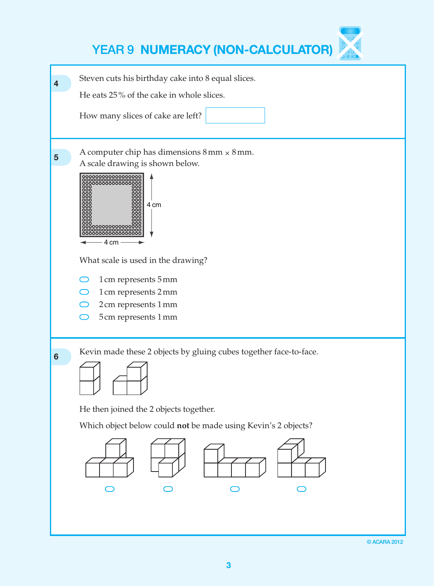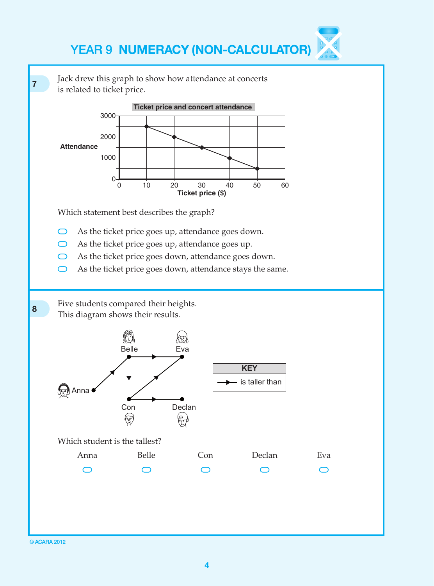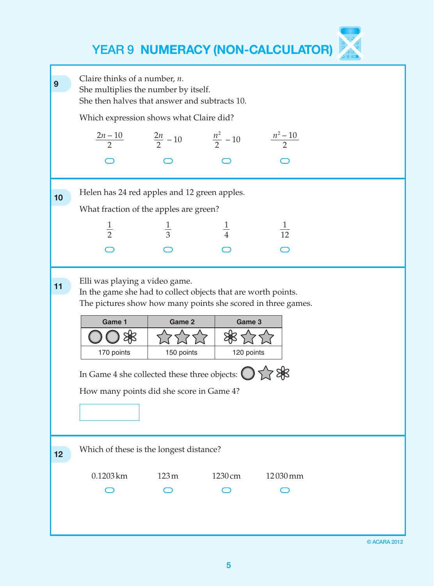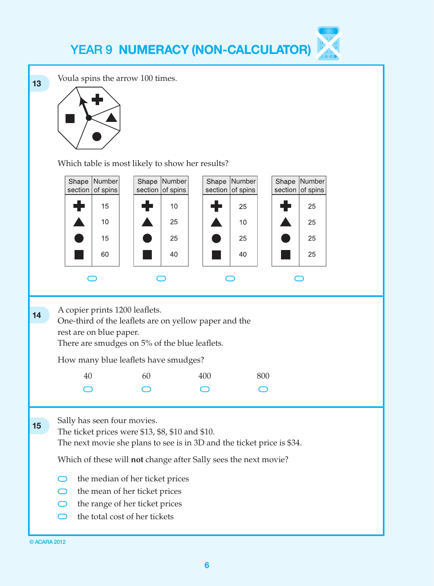

**13** Voula spins the arrow 100 times.



Which table is most likely to show her results?

|    |                                                                                                                                                                                                                                                                                                                                                                                                               | Shape Number<br>section of spins     |    | Shape Number<br>section of spins | Shape<br>section | Number<br>of spins |  | Shape Number<br>section of spins |  |
|----|---------------------------------------------------------------------------------------------------------------------------------------------------------------------------------------------------------------------------------------------------------------------------------------------------------------------------------------------------------------------------------------------------------------|--------------------------------------|----|----------------------------------|------------------|--------------------|--|----------------------------------|--|
|    |                                                                                                                                                                                                                                                                                                                                                                                                               | 15                                   |    | 10                               |                  | 25                 |  | 25                               |  |
|    |                                                                                                                                                                                                                                                                                                                                                                                                               | 10                                   |    | 25                               |                  | 10                 |  | 25                               |  |
|    |                                                                                                                                                                                                                                                                                                                                                                                                               | 15                                   |    | 25                               |                  | 25                 |  | 25                               |  |
|    |                                                                                                                                                                                                                                                                                                                                                                                                               | 60                                   |    | 40                               |                  | 40                 |  | 25                               |  |
|    |                                                                                                                                                                                                                                                                                                                                                                                                               |                                      |    |                                  |                  |                    |  |                                  |  |
| 14 | A copier prints 1200 leaflets.<br>One-third of the leaflets are on yellow paper and the<br>rest are on blue paper.<br>There are smudges on 5% of the blue leaflets.                                                                                                                                                                                                                                           |                                      |    |                                  |                  |                    |  |                                  |  |
|    |                                                                                                                                                                                                                                                                                                                                                                                                               | How many blue leaflets have smudges? |    |                                  |                  |                    |  |                                  |  |
|    | 40                                                                                                                                                                                                                                                                                                                                                                                                            |                                      | 60 |                                  | 400              | 800                |  |                                  |  |
|    |                                                                                                                                                                                                                                                                                                                                                                                                               |                                      |    |                                  |                  |                    |  |                                  |  |
| 15 | Sally has seen four movies.<br>The ticket prices were \$13, \$8, \$10 and \$10.<br>The next movie she plans to see is in 3D and the ticket price is \$34.<br>Which of these will not change after Sally sees the next movie?<br>the median of her ticket prices<br>the mean of her ticket prices<br>$\bigcirc$<br>the range of her ticket prices<br>$\bigcirc$<br>the total cost of her tickets<br>$\bigcirc$ |                                      |    |                                  |                  |                    |  |                                  |  |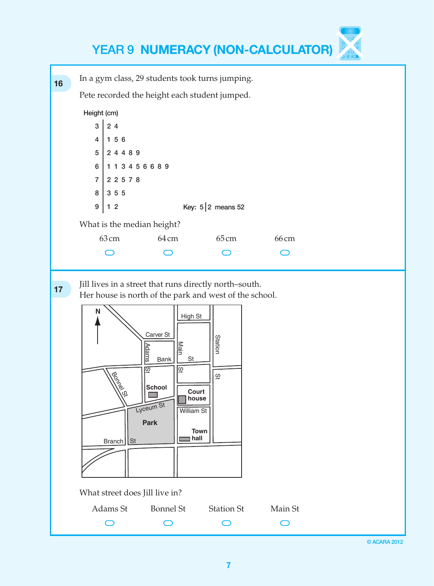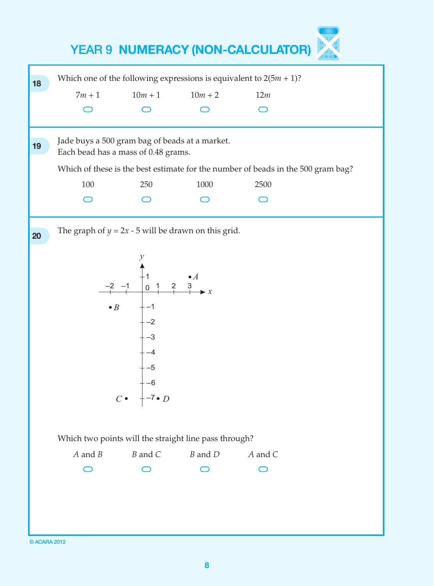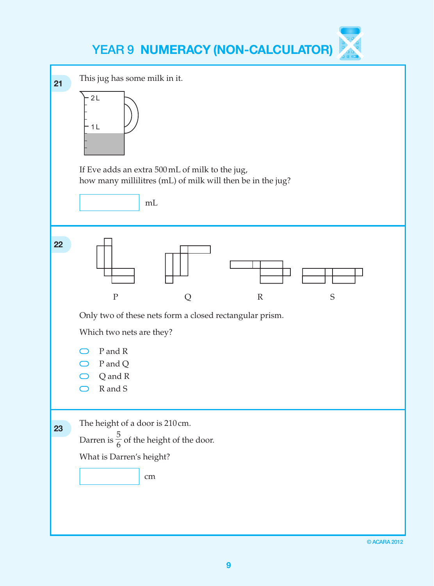| 21 | This jug has some milk in it.<br>2L<br>1 <sub>L</sub><br>If Eve adds an extra 500 mL of milk to the jug,<br>how many millilitres (mL) of milk will then be in the jug?<br>mL |
|----|------------------------------------------------------------------------------------------------------------------------------------------------------------------------------|
| 22 | $\mathbf P$<br>S<br>Q<br>$\mathbb{R}$<br>Only two of these nets form a closed rectangular prism.<br>Which two nets are they?<br>P and R<br>P and Q<br>Q and R<br>R and S     |
| 23 | The height of a door is 210cm.<br>Darren is $\frac{5}{6}$ of the height of the door.<br>What is Darren's height?<br>cm                                                       |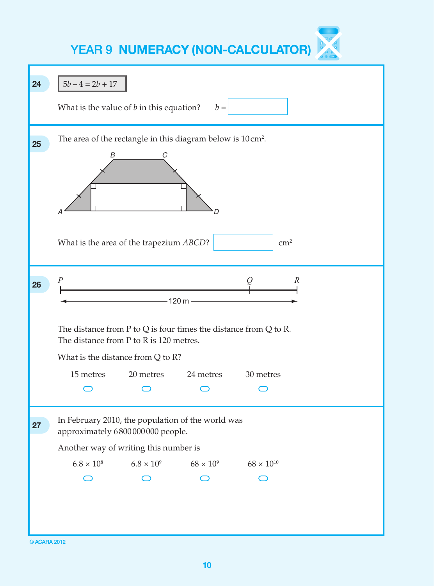| 24 | $5b - 4 = 2b + 17$                                                                                                                                                                                          |                                                      |           |                     |  |  |  |
|----|-------------------------------------------------------------------------------------------------------------------------------------------------------------------------------------------------------------|------------------------------------------------------|-----------|---------------------|--|--|--|
|    | What is the value of $b$ in this equation?                                                                                                                                                                  |                                                      | $b =$     |                     |  |  |  |
| 25 | The area of the rectangle in this diagram below is 10 cm <sup>2</sup> .<br>B<br>What is the area of the trapezium ABCD?                                                                                     | C                                                    | ת         | $\text{cm}^2$       |  |  |  |
| 26 | $\overline{P}$<br>$\boldsymbol{R}$<br>-120 m -<br>The distance from $P$ to $Q$ is four times the distance from $Q$ to $R$ .<br>The distance from P to R is 120 metres.<br>What is the distance from Q to R? |                                                      |           |                     |  |  |  |
|    |                                                                                                                                                                                                             | 15 metres 20 metres                                  | 24 metres | 30 metres           |  |  |  |
|    |                                                                                                                                                                                                             |                                                      |           |                     |  |  |  |
| 27 | In February 2010, the population of the world was<br>approximately 6800000000 people.<br>Another way of writing this number is                                                                              |                                                      |           |                     |  |  |  |
|    |                                                                                                                                                                                                             | $6.8 \times 10^8$ $6.8 \times 10^9$ $68 \times 10^9$ |           | $68 \times 10^{10}$ |  |  |  |
|    |                                                                                                                                                                                                             |                                                      |           |                     |  |  |  |
|    |                                                                                                                                                                                                             |                                                      |           |                     |  |  |  |

© ACARA 2012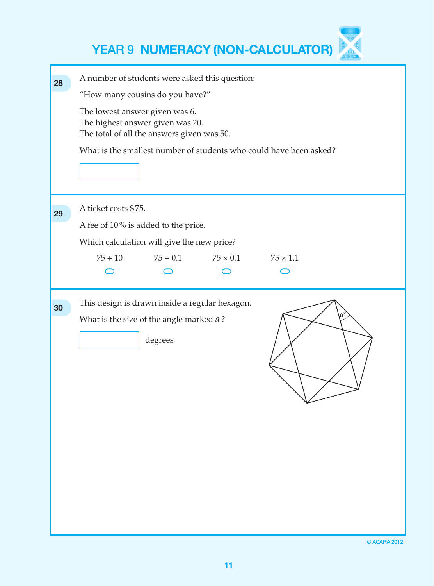| 28 | A number of students were asked this question:                     |  |  |  |  |  |  |  |
|----|--------------------------------------------------------------------|--|--|--|--|--|--|--|
|    | "How many cousins do you have?"                                    |  |  |  |  |  |  |  |
|    | The lowest answer given was 6.                                     |  |  |  |  |  |  |  |
|    | The highest answer given was 20.                                   |  |  |  |  |  |  |  |
|    | The total of all the answers given was 50.                         |  |  |  |  |  |  |  |
|    | What is the smallest number of students who could have been asked? |  |  |  |  |  |  |  |
|    |                                                                    |  |  |  |  |  |  |  |
|    |                                                                    |  |  |  |  |  |  |  |
| 29 | A ticket costs \$75.                                               |  |  |  |  |  |  |  |
|    | A fee of 10% is added to the price.                                |  |  |  |  |  |  |  |
|    | Which calculation will give the new price?                         |  |  |  |  |  |  |  |
|    | $75 + 0.1$<br>$75 \times 0.1$<br>$75 \times 1.1$<br>$75 + 10$      |  |  |  |  |  |  |  |
|    |                                                                    |  |  |  |  |  |  |  |
|    | This design is drawn inside a regular hexagon.                     |  |  |  |  |  |  |  |
| 30 | What is the size of the angle marked $a$ ?                         |  |  |  |  |  |  |  |
|    |                                                                    |  |  |  |  |  |  |  |
|    | degrees                                                            |  |  |  |  |  |  |  |
|    |                                                                    |  |  |  |  |  |  |  |
|    |                                                                    |  |  |  |  |  |  |  |
|    |                                                                    |  |  |  |  |  |  |  |
|    |                                                                    |  |  |  |  |  |  |  |
|    |                                                                    |  |  |  |  |  |  |  |
|    |                                                                    |  |  |  |  |  |  |  |
|    |                                                                    |  |  |  |  |  |  |  |
|    |                                                                    |  |  |  |  |  |  |  |
|    |                                                                    |  |  |  |  |  |  |  |
|    |                                                                    |  |  |  |  |  |  |  |
|    |                                                                    |  |  |  |  |  |  |  |